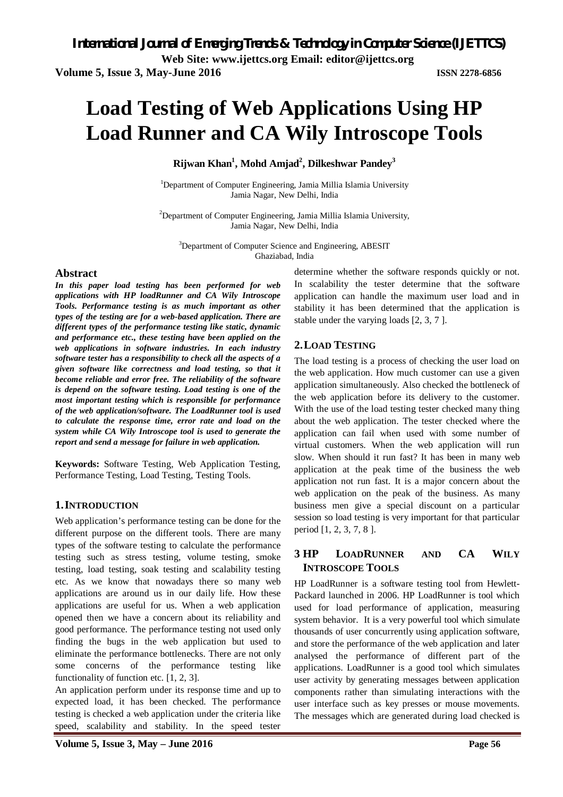# **Load Testing of Web Applications Using HP Load Runner and CA Wily Introscope Tools**

**Rijwan Khan<sup>1</sup> , Mohd Amjad<sup>2</sup> , Dilkeshwar Pandey<sup>3</sup>**

<sup>1</sup>Department of Computer Engineering, Jamia Millia Islamia University Jamia Nagar, New Delhi, India

 $2$ Department of Computer Engineering, Jamia Millia Islamia University, Jamia Nagar, New Delhi, India

<sup>3</sup>Department of Computer Science and Engineering, ABESIT Ghaziabad, India

# **Abstract**

*In this paper load testing has been performed for web applications with HP loadRunner and CA Wily Introscope Tools. Performance testing is as much important as other types of the testing are for a web-based application. There are different types of the performance testing like static, dynamic and performance etc., these testing have been applied on the web applications in software industries. In each industry software tester has a responsibility to check all the aspects of a given software like correctness and load testing, so that it become reliable and error free. The reliability of the software is depend on the software testing. Load testing is one of the most important testing which is responsible for performance of the web application/software. The LoadRunner tool is used to calculate the response time, error rate and load on the system while CA Wily Introscope tool is used to generate the report and send a message for failure in web application.* 

**Keywords:** Software Testing, Web Application Testing, Performance Testing, Load Testing, Testing Tools.

# **1.INTRODUCTION**

Web application's performance testing can be done for the different purpose on the different tools. There are many types of the software testing to calculate the performance testing such as stress testing, volume testing, smoke testing, load testing, soak testing and scalability testing etc. As we know that nowadays there so many web applications are around us in our daily life. How these applications are useful for us. When a web application opened then we have a concern about its reliability and good performance. The performance testing not used only finding the bugs in the web application but used to eliminate the performance bottlenecks. There are not only some concerns of the performance testing like functionality of function etc. [1, 2, 3].

An application perform under its response time and up to expected load, it has been checked. The performance testing is checked a web application under the criteria like speed, scalability and stability. In the speed tester

determine whether the software responds quickly or not. In scalability the tester determine that the software application can handle the maximum user load and in stability it has been determined that the application is stable under the varying loads [2, 3, 7 ].

# **2.LOAD TESTING**

The load testing is a process of checking the user load on the web application. How much customer can use a given application simultaneously. Also checked the bottleneck of the web application before its delivery to the customer. With the use of the load testing tester checked many thing about the web application. The tester checked where the application can fail when used with some number of virtual customers. When the web application will run slow. When should it run fast? It has been in many web application at the peak time of the business the web application not run fast. It is a major concern about the web application on the peak of the business. As many business men give a special discount on a particular session so load testing is very important for that particular period [1, 2, 3, 7, 8 ].

# **3 HP LOADRUNNER AND CA WILY INTROSCOPE TOOLS**

HP LoadRunner is a software testing tool from Hewlett-Packard launched in 2006. HP LoadRunner is tool which used for load performance of application, measuring system behavior. It is a very powerful tool which simulate thousands of user concurrently using application software, and store the performance of the web application and later analysed the performance of different part of the applications. LoadRunner is a good tool which simulates user activity by generating messages between application components rather than simulating interactions with the user interface such as key presses or mouse movements. The messages which are generated during load checked is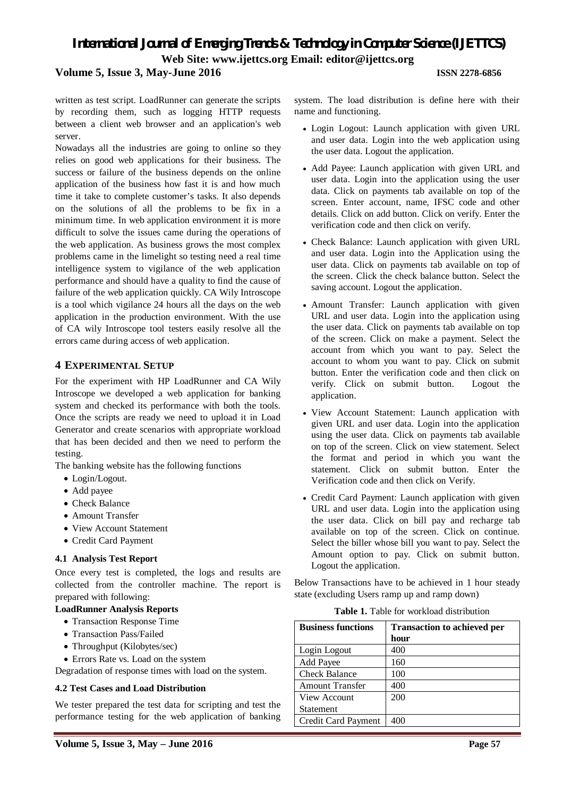# *International Journal of Emerging Trends & Technology in Computer Science (IJETTCS)* **Web Site: www.ijettcs.org Email: editor@ijettcs.org Volume 5, Issue 3, May-June 2016 ISSN 2278-6856**

written as test script. LoadRunner can generate the scripts by recording them, such as logging HTTP requests between a client web browser and an application's web server.

Nowadays all the industries are going to online so they relies on good web applications for their business. The success or failure of the business depends on the online application of the business how fast it is and how much time it take to complete customer's tasks. It also depends on the solutions of all the problems to be fix in a minimum time. In web application environment it is more difficult to solve the issues came during the operations of the web application. As business grows the most complex problems came in the limelight so testing need a real time intelligence system to vigilance of the web application performance and should have a quality to find the cause of failure of the web application quickly. CA Wily Introscope is a tool which vigilance 24 hours all the days on the web application in the production environment. With the use of CA wily Introscope tool testers easily resolve all the errors came during access of web application.

### **4 EXPERIMENTAL SETUP**

For the experiment with HP LoadRunner and CA Wily Introscope we developed a web application for banking system and checked its performance with both the tools. Once the scripts are ready we need to upload it in Load Generator and create scenarios with appropriate workload that has been decided and then we need to perform the testing.

The banking website has the following functions

- Login/Logout.
- Add payee
- Check Balance
- Amount Transfer
- View Account Statement
- Credit Card Payment

#### **4.1 Analysis Test Report**

Once every test is completed, the logs and results are collected from the controller machine. The report is prepared with following:

#### **LoadRunner Analysis Reports**

- Transaction Response Time
- Transaction Pass/Failed
- Throughput (Kilobytes/sec)
- Errors Rate vs. Load on the system

Degradation of response times with load on the system.

#### **4.2 Test Cases and Load Distribution**

We tester prepared the test data for scripting and test the performance testing for the web application of banking

system. The load distribution is define here with their name and functioning.

- Login Logout: Launch application with given URL and user data. Login into the web application using the user data. Logout the application.
- Add Payee: Launch application with given URL and user data. Login into the application using the user data. Click on payments tab available on top of the screen. Enter account, name, IFSC code and other details. Click on add button. Click on verify. Enter the verification code and then click on verify.
- Check Balance: Launch application with given URL and user data. Login into the Application using the user data. Click on payments tab available on top of the screen. Click the check balance button. Select the saving account. Logout the application.
- Amount Transfer: Launch application with given URL and user data. Login into the application using the user data. Click on payments tab available on top of the screen. Click on make a payment. Select the account from which you want to pay. Select the account to whom you want to pay. Click on submit button. Enter the verification code and then click on verify. Click on submit button. Logout the application.
- View Account Statement: Launch application with given URL and user data. Login into the application using the user data. Click on payments tab available on top of the screen. Click on view statement. Select the format and period in which you want the statement. Click on submit button. Enter the Verification code and then click on Verify.
- Credit Card Payment: Launch application with given URL and user data. Login into the application using the user data. Click on bill pay and recharge tab available on top of the screen. Click on continue. Select the biller whose bill you want to pay. Select the Amount option to pay. Click on submit button. Logout the application.

Below Transactions have to be achieved in 1 hour steady state (excluding Users ramp up and ramp down)

|  |  |  | <b>Table 1.</b> Table for workload distribution |
|--|--|--|-------------------------------------------------|
|--|--|--|-------------------------------------------------|

| <b>Business functions</b> | <b>Transaction to achieved per</b><br>hour |
|---------------------------|--------------------------------------------|
| Login Logout              | 400                                        |
| Add Payee                 | 160                                        |
| <b>Check Balance</b>      | 100                                        |
| <b>Amount Transfer</b>    | 400                                        |
| <b>View Account</b>       | 200                                        |
| <b>Statement</b>          |                                            |
| Credit Card Payment       | 400                                        |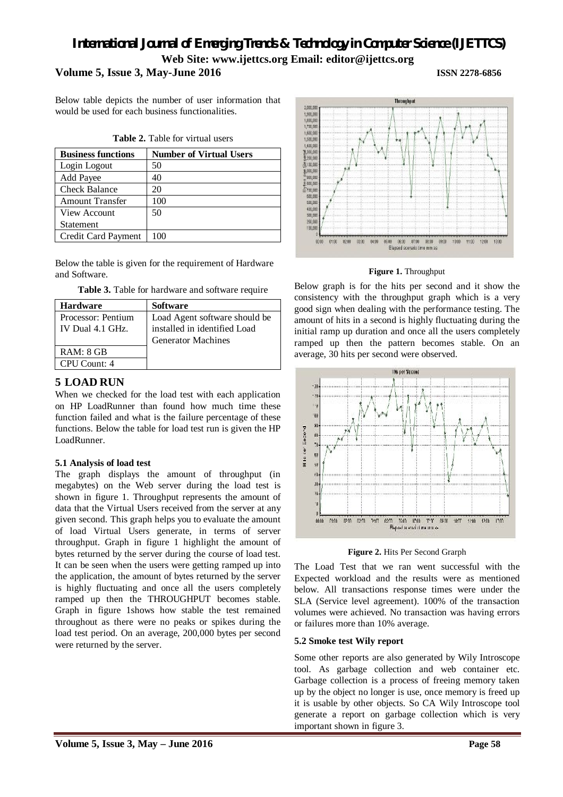# *International Journal of Emerging Trends & Technology in Computer Science (IJETTCS)* **Web Site: www.ijettcs.org Email: editor@ijettcs.org Volume 5, Issue 3, May-June 2016 ISSN 2278-6856**

Below table depicts the number of user information that would be used for each business functionalities.

| <b>Business functions</b> | <b>Number of Virtual Users</b> |
|---------------------------|--------------------------------|
| Login Logout              | 50                             |
| Add Payee                 | 40                             |
| <b>Check Balance</b>      | 20                             |
| <b>Amount Transfer</b>    | 100                            |
| View Account              | 50                             |
| Statement                 |                                |
| Credit Card Payment       | 100                            |

Below the table is given for the requirement of Hardware and Software.

**Table 3.** Table for hardware and software require

| <b>Hardware</b>    | <b>Software</b>               |
|--------------------|-------------------------------|
| Processor: Pentium | Load Agent software should be |
| IV Dual 4.1 GHz.   | installed in identified Load  |
|                    | <b>Generator Machines</b>     |
| RAM: 8 GB          |                               |
| CPU Count: 4       |                               |

# **5 LOAD RUN**

When we checked for the load test with each application on HP LoadRunner than found how much time these function failed and what is the failure percentage of these functions. Below the table for load test run is given the HP LoadRunner.

# **5.1 Analysis of load test**

The graph displays the amount of throughput (in megabytes) on the Web server during the load test is shown in figure 1. Throughput represents the amount of data that the Virtual Users received from the server at any given second. This graph helps you to evaluate the amount of load Virtual Users generate, in terms of server throughput. Graph in figure 1 highlight the amount of bytes returned by the server during the course of load test. It can be seen when the users were getting ramped up into the application, the amount of bytes returned by the server is highly fluctuating and once all the users completely ramped up then the THROUGHPUT becomes stable. Graph in figure 1shows how stable the test remained throughout as there were no peaks or spikes during the load test period. On an average, 200,000 bytes per second were returned by the server.



**Figure 1.** Throughput

Below graph is for the hits per second and it show the consistency with the throughput graph which is a very good sign when dealing with the performance testing. The amount of hits in a second is highly fluctuating during the initial ramp up duration and once all the users completely ramped up then the pattern becomes stable. On an average, 30 hits per second were observed.



**Figure 2.** Hits Per Second Grarph

The Load Test that we ran went successful with the Expected workload and the results were as mentioned below. All transactions response times were under the SLA (Service level agreement). 100% of the transaction volumes were achieved. No transaction was having errors or failures more than 10% average.

### **5.2 Smoke test Wily report**

Some other reports are also generated by Wily Introscope tool. As garbage collection and web container etc. Garbage collection is a process of freeing memory taken up by the object no longer is use, once memory is freed up it is usable by other objects. So CA Wily Introscope tool generate a report on garbage collection which is very important shown in figure 3.